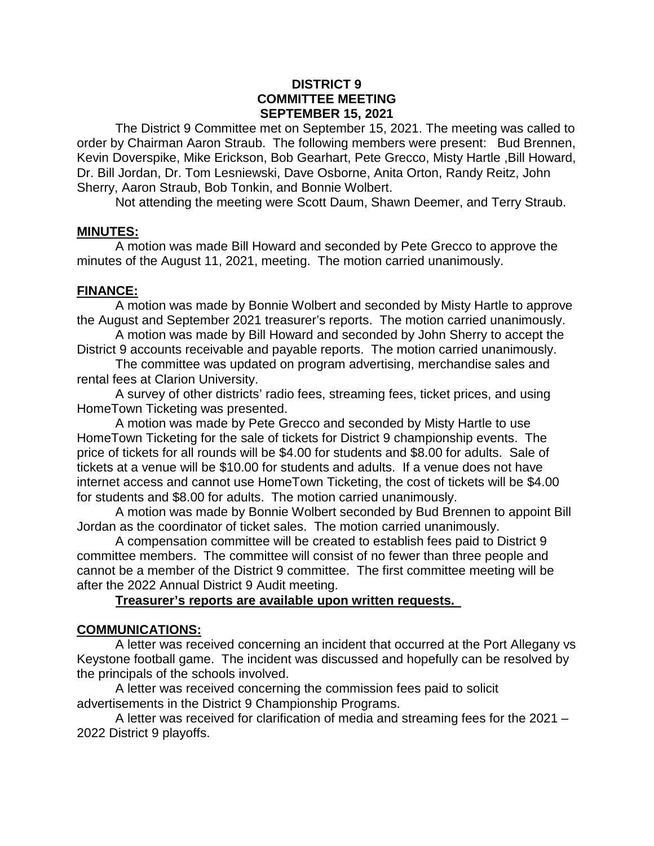#### **DISTRICT 9 COMMITTEE MEETING SEPTEMBER 15, 2021**

The District 9 Committee met on September 15, 2021. The meeting was called to order by Chairman Aaron Straub. The following members were present: Bud Brennen, Kevin Doverspike, Mike Erickson, Bob Gearhart, Pete Grecco, Misty Hartle ,Bill Howard, Dr. Bill Jordan, Dr. Tom Lesniewski, Dave Osborne, Anita Orton, Randy Reitz, John Sherry, Aaron Straub, Bob Tonkin, and Bonnie Wolbert.

Not attending the meeting were Scott Daum, Shawn Deemer, and Terry Straub.

#### **MINUTES:**

A motion was made Bill Howard and seconded by Pete Grecco to approve the minutes of the August 11, 2021, meeting. The motion carried unanimously.

### **FINANCE:**

A motion was made by Bonnie Wolbert and seconded by Misty Hartle to approve the August and September 2021 treasurer's reports. The motion carried unanimously.

A motion was made by Bill Howard and seconded by John Sherry to accept the District 9 accounts receivable and payable reports. The motion carried unanimously.

The committee was updated on program advertising, merchandise sales and rental fees at Clarion University.

A survey of other districts' radio fees, streaming fees, ticket prices, and using HomeTown Ticketing was presented.

A motion was made by Pete Grecco and seconded by Misty Hartle to use HomeTown Ticketing for the sale of tickets for District 9 championship events. The price of tickets for all rounds will be \$4.00 for students and \$8.00 for adults. Sale of tickets at a venue will be \$10.00 for students and adults. If a venue does not have internet access and cannot use HomeTown Ticketing, the cost of tickets will be \$4.00 for students and \$8.00 for adults. The motion carried unanimously.

A motion was made by Bonnie Wolbert seconded by Bud Brennen to appoint Bill Jordan as the coordinator of ticket sales. The motion carried unanimously.

A compensation committee will be created to establish fees paid to District 9 committee members. The committee will consist of no fewer than three people and cannot be a member of the District 9 committee. The first committee meeting will be after the 2022 Annual District 9 Audit meeting.

#### **Treasurer's reports are available upon written requests.**

### **COMMUNICATIONS:**

A letter was received concerning an incident that occurred at the Port Allegany vs Keystone football game. The incident was discussed and hopefully can be resolved by the principals of the schools involved.

A letter was received concerning the commission fees paid to solicit advertisements in the District 9 Championship Programs.

A letter was received for clarification of media and streaming fees for the 2021 – 2022 District 9 playoffs.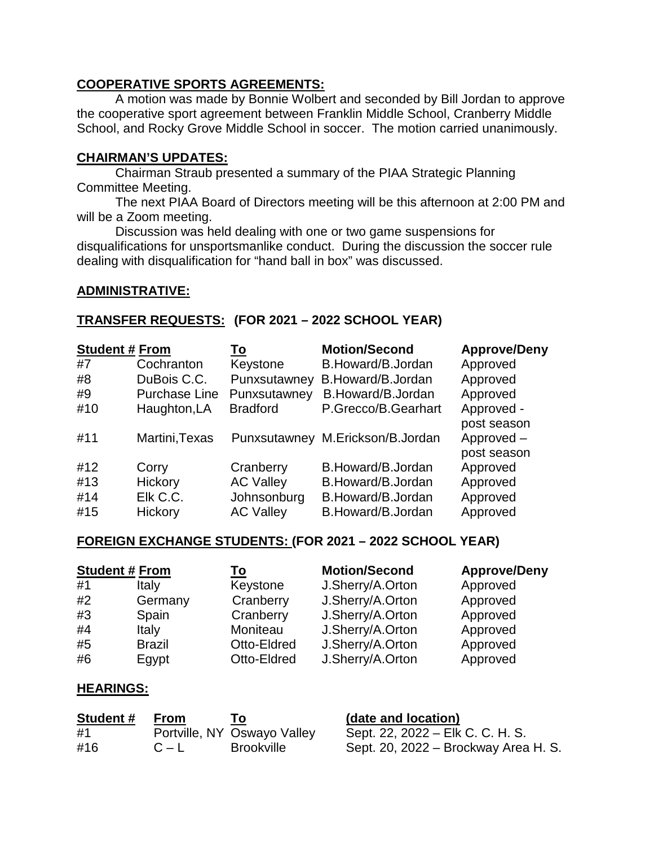# **COOPERATIVE SPORTS AGREEMENTS:**

A motion was made by Bonnie Wolbert and seconded by Bill Jordan to approve the cooperative sport agreement between Franklin Middle School, Cranberry Middle School, and Rocky Grove Middle School in soccer. The motion carried unanimously.

# **CHAIRMAN'S UPDATES:**

Chairman Straub presented a summary of the PIAA Strategic Planning Committee Meeting.

The next PIAA Board of Directors meeting will be this afternoon at 2:00 PM and will be a Zoom meeting.

Discussion was held dealing with one or two game suspensions for disqualifications for unsportsmanlike conduct. During the discussion the soccer rule dealing with disqualification for "hand ball in box" was discussed.

### **ADMINISTRATIVE:**

# **TRANSFER REQUESTS: (FOR 2021 – 2022 SCHOOL YEAR)**

| <b>Student # From</b> |                      | <u>To</u>        | <b>Motion/Second</b>             | <b>Approve/Deny</b> |
|-----------------------|----------------------|------------------|----------------------------------|---------------------|
| #7                    | Cochranton           | Keystone         | B.Howard/B.Jordan                | Approved            |
| #8                    | DuBois C.C.          | Punxsutawney     | B.Howard/B.Jordan                | Approved            |
| #9                    | <b>Purchase Line</b> | Punxsutawney     | B.Howard/B.Jordan                | Approved            |
| #10                   | Haughton, LA         | <b>Bradford</b>  | P.Grecco/B.Gearhart              | Approved -          |
|                       |                      |                  |                                  | post season         |
| #11                   | Martini, Texas       |                  | Punxsutawney M.Erickson/B.Jordan | Approved-           |
|                       |                      |                  |                                  | post season         |
| #12                   | Corry                | Cranberry        | B.Howard/B.Jordan                | Approved            |
| #13                   | Hickory              | <b>AC Valley</b> | B.Howard/B.Jordan                | Approved            |
| #14                   | Elk C.C.             | Johnsonburg      | B.Howard/B.Jordan                | Approved            |
| #15                   | <b>Hickory</b>       | <b>AC Valley</b> | B.Howard/B.Jordan                | Approved            |

### **FOREIGN EXCHANGE STUDENTS: (FOR 2021 – 2022 SCHOOL YEAR)**

|    | <b>Student # From</b> | <u>To</u>   | <b>Motion/Second</b> | <b>Approve/Deny</b> |
|----|-----------------------|-------------|----------------------|---------------------|
| #1 | Italy                 | Keystone    | J.Sherry/A.Orton     | Approved            |
| #2 | Germany               | Cranberry   | J.Sherry/A.Orton     | Approved            |
| #3 | Spain                 | Cranberry   | J.Sherry/A.Orton     | Approved            |
| #4 | Italy                 | Moniteau    | J.Sherry/A.Orton     | Approved            |
| #5 | <b>Brazil</b>         | Otto-Eldred | J.Sherry/A.Orton     | Approved            |
| #6 | Egypt                 | Otto-Eldred | J.Sherry/A.Orton     | Approved            |

### **HEARINGS:**

| Student# | From    | To:                         | (date and location)                  |
|----------|---------|-----------------------------|--------------------------------------|
| #1       |         | Portville, NY Oswayo Valley | Sept. 22, 2022 – Elk C. C. H. S.     |
| #16      | $C - L$ | <b>Brookville</b>           | Sept. 20, 2022 – Brockway Area H. S. |